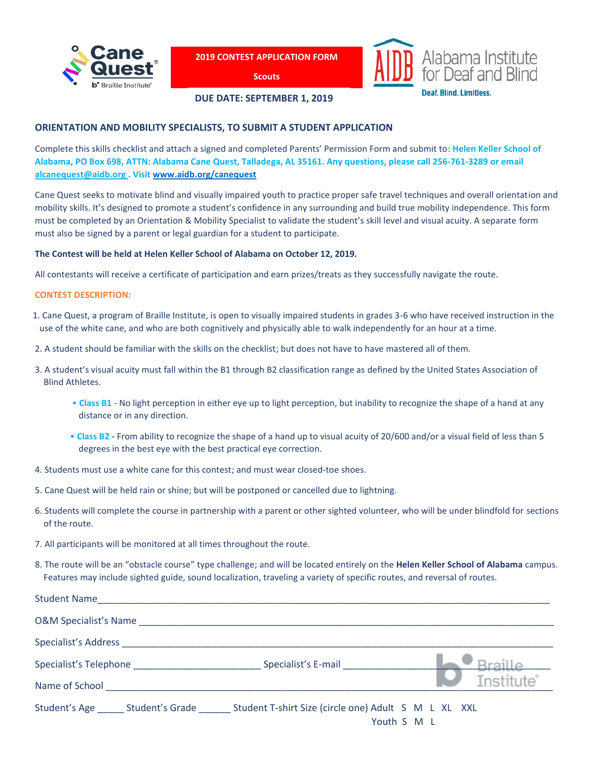

**2019 CONTEST APPLICATION FORM**

**Scouts**



**DUE DATE: SEPTEMBER 1, 2019**

# **ORIENTATION AND MOBILITY SPECIALISTS, TO SUBMIT A STUDENT APPLICATION**

Complete this skills checklist and attach a signed and completed Parents' Permission Form and submit to: **Helen Keller School of Alabama, PO Box 698, ATTN: Alabama Cane Quest, Talladega, AL 35161. Any questions, please call 256-761-3289 or email [alcanequest@aidb.org](mailto:alcanequest@aidb.org) . Visit [www.aidb.org/canequest](http://www.aidb.org/canequest)**

Cane Quest seeks to motivate blind and visually impaired youth to practice proper safe travel techniques and overall orientation and mobility skills. It's designed to promote a student's confidence in any surrounding and build true mobility independence. This form must be completed by an Orientation & Mobility Specialist to validate the student's skill level and visual acuity. A separate form must also be signed by a parent or legal guardian for a student to participate.

# **The Contest will be held at Helen Keller School of Alabama on October 12, 2019.**

All contestants will receive a certificate of participation and earn prizes/treats as they successfully navigate the route.

### **CONTEST DESCRIPTION:**

- 1. Cane Quest, a program of Braille Institute, is open to visually impaired students in grades 3-6 who have received instruction in the use of the white cane, and who are both cognitively and physically able to walk independently for an hour at a time.
- 2. A student should be familiar with the skills on the checklist; but does not have to have mastered all of them.
- 3. A student's visual acuity must fall within the B1 through B2 classification range as defined by the United States Association of Blind Athletes.
	- **Class B1** No light perception in either eye up to light perception, but inability to recognize the shape of a hand at any distance or in any direction.
	- **Class B2** From ability to recognize the shape of a hand up to visual acuity of 20/600 and/or a visual field of less than 5 degrees in the best eye with the best practical eye correction.
- 4. Students must use a white cane for this contest; and must wear closed-toe shoes.
- 5. Cane Quest will be held rain or shine; but will be postponed or cancelled due to lightning.
- 6. Students will complete the course in partnership with a parent or other sighted volunteer, who will be under blindfold for sections of the route.
- 7. All participants will be monitored at all times throughout the route.
- 8. The route will be an "obstacle course" type challenge; and will be located entirely on the **Helen Keller School of Alabama** campus. Features may include sighted guide, sound localization, traveling a variety of specific routes, and reversal of routes.

| <b>Student Name</b>                                                                                                                                                                                                            |                                                      |                         |
|--------------------------------------------------------------------------------------------------------------------------------------------------------------------------------------------------------------------------------|------------------------------------------------------|-------------------------|
| <b>O&amp;M Specialist's Name</b>                                                                                                                                                                                               |                                                      |                         |
| Specialist's Address and the state of the state of the state of the state of the state of the state of the state of the state of the state of the state of the state of the state of the state of the state of the state of th |                                                      |                         |
|                                                                                                                                                                                                                                | Specialist's E-mail                                  |                         |
| Name of School                                                                                                                                                                                                                 |                                                      | <i><b>Institute</b></i> |
| Student's Age Student's Grade                                                                                                                                                                                                  | Student T-shirt Size (circle one) Adult S M L XL XXL | Youth S M L             |